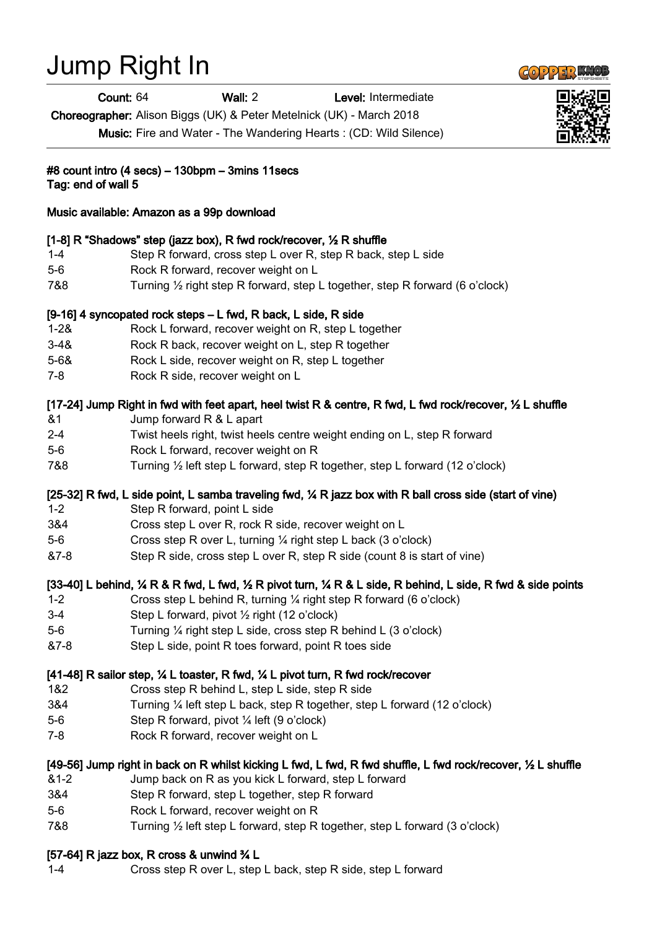# Jump Right In

Count: 64 Wall: 2 Level: Intermediate

Choreographer: Alison Biggs (UK) & Peter Metelnick (UK) - March 2018

Music: Fire and Water - The Wandering Hearts : (CD: Wild Silence)

#8 count intro (4 secs) – 130bpm – 3mins 11secs Tag: end of wall 5

Music available: Amazon as a 99p download

# [1-8] R "Shadows" step (jazz box), R fwd rock/recover, 1/2 R shuffle

- 1-4 Step R forward, cross step L over R, step R back, step L side
- 5-6 Rock R forward, recover weight on L
- 7&8 Turning ½ right step R forward, step L together, step R forward (6 o'clock)

# [9-16] 4 syncopated rock steps – L fwd, R back, L side, R side

- 1-2& Rock L forward, recover weight on R, step L together
- 3-4& Rock R back, recover weight on L, step R together
- 5-6& Rock L side, recover weight on R, step L together
- 7-8 Rock R side, recover weight on L

# [17-24] Jump Right in fwd with feet apart, heel twist R & centre, R fwd, L fwd rock/recover, 1/2 L shuffle

- &1 Jump forward R & L apart
- 2-4 Twist heels right, twist heels centre weight ending on L, step R forward
- 5-6 Rock L forward, recover weight on R
- 7&8 Turning ½ left step L forward, step R together, step L forward (12 o'clock)

### [25-32] R fwd, L side point, L samba traveling fwd,  $\frac{1}{4}$  R jazz box with R ball cross side (start of vine)

- 1-2 Step R forward, point L side
- 3&4 Cross step L over R, rock R side, recover weight on L
- 5-6 Cross step R over L, turning ¼ right step L back (3 o'clock)
- &7-8 Step R side, cross step L over R, step R side (count 8 is start of vine)

### [33-40] L behind,  $\frac{1}{4}$  R & R fwd, L fwd,  $\frac{1}{2}$  R pivot turn,  $\frac{1}{4}$  R & L side, R behind, L side, R fwd & side points

- 1-2 Cross step L behind R, turning ¼ right step R forward (6 o'clock)
- 3-4 Step L forward, pivot ½ right (12 o'clock)
- 5-6 Turning ¼ right step L side, cross step R behind L (3 o'clock)
- &7-8 Step L side, point R toes forward, point R toes side

### [41-48] R sailor step, ¼ L toaster, R fwd, ¼ L pivot turn, R fwd rock/recover

- 1&2 Cross step R behind L, step L side, step R side
- 3&4 Turning ¼ left step L back, step R together, step L forward (12 o'clock)
- 5-6 Step R forward, pivot ¼ left (9 o'clock)
- 7-8 Rock R forward, recover weight on L

### [49-56] Jump right in back on R whilst kicking L fwd, L fwd, R fwd shuffle, L fwd rock/recover, ½ L shuffle

- &1-2 Jump back on R as you kick L forward, step L forward
- 3&4 Step R forward, step L together, step R forward
- 5-6 Rock L forward, recover weight on R
- 7&8 Turning ½ left step L forward, step R together, step L forward (3 o'clock)

### [57-64] R jazz box, R cross & unwind ¾ L

1-4 Cross step R over L, step L back, step R side, step L forward